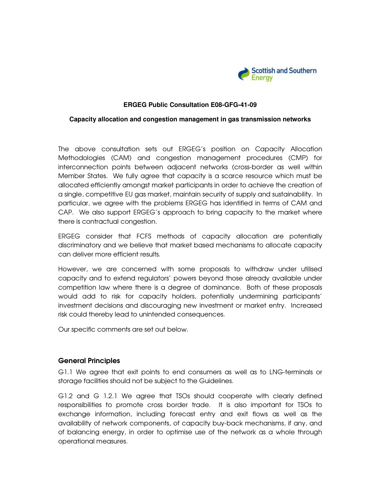

### **ERGEG Public Consultation E08-GFG-41-09**

### **Capacity allocation and congestion management in gas transmission networks**

The above consultation sets out ERGEG's position on Capacity Allocation Methodologies (CAM) and congestion management procedures (CMP) for interconnection points between adjacent networks (cross-border as well within Member States. We fully agree that capacity is a scarce resource which must be allocated efficiently amongst market participants in order to achieve the creation of a single, competitive EU gas market, maintain security of supply and sustainability. In particular, we agree with the problems ERGEG has identified in terms of CAM and CAP. We also support ERGEG's approach to bring capacity to the market where there is contractual congestion.

ERGEG consider that FCFS methods of capacity allocation are potentially discriminatory and we believe that market based mechanisms to allocate capacity can deliver more efficient results.

However, we are concerned with some proposals to withdraw under utilised capacity and to extend regulators' powers beyond those already available under competition law where there is a degree of dominance. Both of these proposals would add to risk for capacity holders, potentially undermining participants' investment decisions and discouraging new investment or market entry. Increased risk could thereby lead to unintended consequences.

Our specific comments are set out below.

### General Principles

G1.1 We agree that exit points to end consumers as well as to LNG-terminals or storage facilities should not be subject to the Guidelines.

G1.2 and G 1.2.1 We agree that TSOs should cooperate with clearly defined responsibilities to promote cross border trade. It is also important for TSOs to exchange information, including forecast entry and exit flows as well as the availability of network components, of capacity buy-back mechanisms, if any, and of balancing energy, in order to optimise use of the network as a whole through operational measures.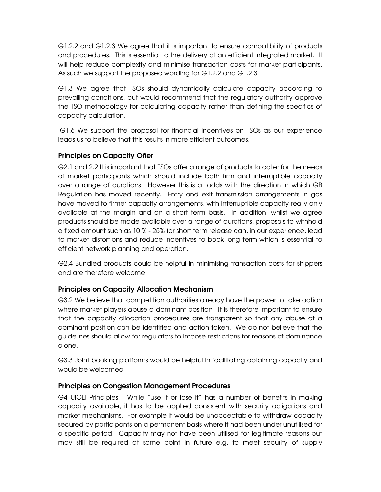G1.2.2 and G1.2.3 We agree that it is important to ensure compatibility of products and procedures. This is essential to the delivery of an efficient integrated market. It will help reduce complexity and minimise transaction costs for market participants. As such we support the proposed wording for G1.2.2 and G1.2.3.

G1.3 We agree that TSOs should dynamically calculate capacity according to prevailing conditions, but would recommend that the regulatory authority approve the TSO methodology for calculating capacity rather than defining the specifics of capacity calculation.

 G1.6 We support the proposal for financial incentives on TSOs as our experience leads us to believe that this results in more efficient outcomes.

# Principles on Capacity Offer

G2.1 and 2.2 It is important that TSOs offer a range of products to cater for the needs of market participants which should include both firm and interruptible capacity over a range of durations. However this is at odds with the direction in which GB Regulation has moved recently. Entry and exit transmission arrangements in gas have moved to firmer capacity arrangements, with interruptible capacity really only available at the margin and on a short term basis. In addition, whilst we agree products should be made available over a range of durations, proposals to withhold a fixed amount such as 10 % - 25% for short term release can, in our experience, lead to market distortions and reduce incentives to book long term which is essential to efficient network planning and operation.

G2.4 Bundled products could be helpful in minimising transaction costs for shippers and are therefore welcome.

## Principles on Capacity Allocation Mechanism

G3.2 We believe that competition authorities already have the power to take action where market players abuse a dominant position. It is therefore important to ensure that the capacity allocation procedures are transparent so that any abuse of a dominant position can be identified and action taken. We do not believe that the guidelines should allow for regulators to impose restrictions for reasons of dominance alone.

G3.3 Joint booking platforms would be helpful in facilitating obtaining capacity and would be welcomed.

## Principles on Congestion Management Procedures

G4 UIOLI Principles – While "use it or lose it" has a number of benefits in making capacity available, it has to be applied consistent with security obligations and market mechanisms. For example it would be unacceptable to withdraw capacity secured by participants on a permanent basis where it had been under unutilised for a specific period. Capacity may not have been utilised for legitimate reasons but may still be required at some point in future e.g. to meet security of supply